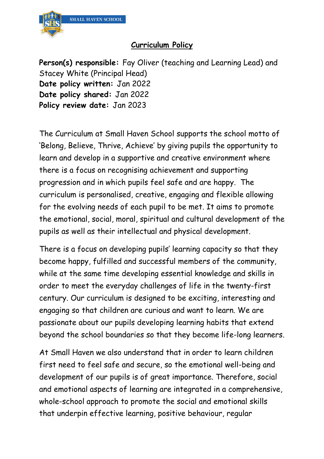

#### **Curriculum Policy**

**Person(s) responsible:** Fay Oliver (teaching and Learning Lead) and Stacey White (Principal Head) **Date policy written:** Jan 2022 **Date policy shared:** Jan 2022 **Policy review date:** Jan 2023

The Curriculum at Small Haven School supports the school motto of 'Belong, Believe, Thrive, Achieve' by giving pupils the opportunity to learn and develop in a supportive and creative environment where there is a focus on recognising achievement and supporting progression and in which pupils feel safe and are happy. The curriculum is personalised, creative, engaging and flexible allowing for the evolving needs of each pupil to be met. It aims to promote the emotional, social, moral, spiritual and cultural development of the pupils as well as their intellectual and physical development.

There is a focus on developing pupils' learning capacity so that they become happy, fulfilled and successful members of the community, while at the same time developing essential knowledge and skills in order to meet the everyday challenges of life in the twenty-first century. Our curriculum is designed to be exciting, interesting and engaging so that children are curious and want to learn. We are passionate about our pupils developing learning habits that extend beyond the school boundaries so that they become life-long learners.

At Small Haven we also understand that in order to learn children first need to feel safe and secure, so the emotional well-being and development of our pupils is of great importance. Therefore, social and emotional aspects of learning are integrated in a comprehensive, whole-school approach to promote the social and emotional skills that underpin effective learning, positive behaviour, regular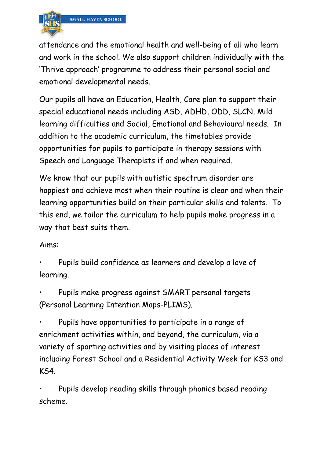

attendance and the emotional health and well-being of all who learn and work in the school. We also support children individually with the 'Thrive approach' programme to address their personal social and emotional developmental needs.

Our pupils all have an Education, Health, Care plan to support their special educational needs including ASD, ADHD, ODD, SLCN, Mild learning difficulties and Social, Emotional and Behavioural needs. In addition to the academic curriculum, the timetables provide opportunities for pupils to participate in therapy sessions with Speech and Language Therapists if and when required.

We know that our pupils with autistic spectrum disorder are happiest and achieve most when their routine is clear and when their learning opportunities build on their particular skills and talents. To this end, we tailor the curriculum to help pupils make progress in a way that best suits them.

### Aims:

• Pupils build confidence as learners and develop a love of learning.

• Pupils make progress against SMART personal targets (Personal Learning Intention Maps-PLIMS).

• Pupils have opportunities to participate in a range of enrichment activities within, and beyond, the curriculum, via a variety of sporting activities and by visiting places of interest including Forest School and a Residential Activity Week for KS3 and KS4.

Pupils develop reading skills through phonics based reading scheme.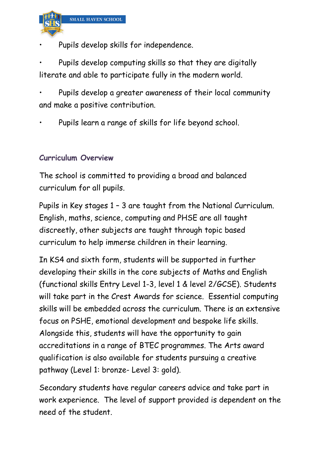

• Pupils develop skills for independence.

• Pupils develop computing skills so that they are digitally literate and able to participate fully in the modern world.

• Pupils develop a greater awareness of their local community and make a positive contribution.

• Pupils learn a range of skills for life beyond school.

# **Curriculum Overview**

The school is committed to providing a broad and balanced curriculum for all pupils.

Pupils in Key stages 1 – 3 are taught from the National Curriculum. English, maths, science, computing and PHSE are all taught discreetly, other subjects are taught through topic based curriculum to help immerse children in their learning.

In KS4 and sixth form, students will be supported in further developing their skills in the core subjects of Maths and English (functional skills Entry Level 1-3, level 1 & level 2/GCSE). Students will take part in the Crest Awards for science. Essential computing skills will be embedded across the curriculum. There is an extensive focus on PSHE, emotional development and bespoke life skills. Alongside this, students will have the opportunity to gain accreditations in a range of BTEC programmes. The Arts award qualification is also available for students pursuing a creative pathway (Level 1: bronze- Level 3: gold).

Secondary students have regular careers advice and take part in work experience. The level of support provided is dependent on the need of the student.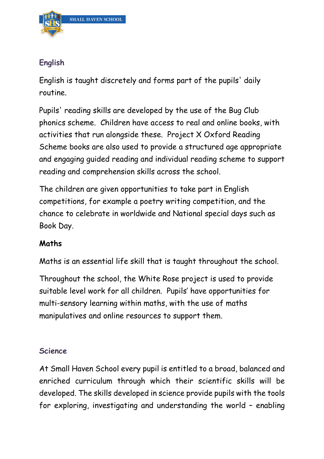

# **English**

English is taught discretely and forms part of the pupils' daily routine.

Pupils' reading skills are developed by the use of the Bug Club phonics scheme. Children have access to real and online books, with activities that run alongside these. Project X Oxford Reading Scheme books are also used to provide a structured age appropriate and engaging guided reading and individual reading scheme to support reading and comprehension skills across the school.

The children are given opportunities to take part in English competitions, for example a poetry writing competition, and the chance to celebrate in worldwide and National special days such as Book Day.

# **Maths**

Maths is an essential life skill that is taught throughout the school.

Throughout the school, the White Rose project is used to provide suitable level work for all children. Pupils' have opportunities for multi-sensory learning within maths, with the use of maths manipulatives and online resources to support them.

### **Science**

At Small Haven School every pupil is entitled to a broad, balanced and enriched curriculum through which their scientific skills will be developed. The skills developed in science provide pupils with the tools for exploring, investigating and understanding the world – enabling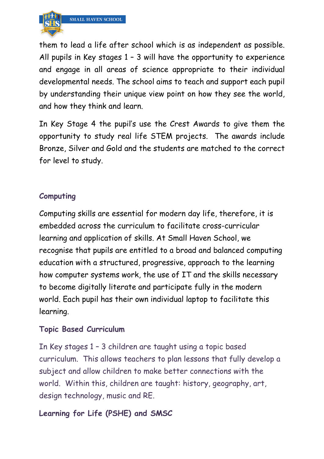

them to lead a life after school which is as independent as possible. All pupils in Key stages 1 – 3 will have the opportunity to experience and engage in all areas of science appropriate to their individual developmental needs. The school aims to teach and support each pupil by understanding their unique view point on how they see the world, and how they think and learn.

In Key Stage 4 the pupil's use the Crest Awards to give them the opportunity to study real life STEM projects. The awards include Bronze, Silver and Gold and the students are matched to the correct for level to study.

# **Computing**

Computing skills are essential for modern day life, therefore, it is embedded across the curriculum to facilitate cross-curricular learning and application of skills. At Small Haven School, we recognise that pupils are entitled to a broad and balanced computing education with a structured, progressive, approach to the learning how computer systems work, the use of IT and the skills necessary to become digitally literate and participate fully in the modern world. Each pupil has their own individual laptop to facilitate this learning.

#### **Topic Based Curriculum**

In Key stages 1 – 3 children are taught using a topic based curriculum. This allows teachers to plan lessons that fully develop a subject and allow children to make better connections with the world. Within this, children are taught: history, geography, art, design technology, music and RE.

### **Learning for Life (PSHE) and SMSC**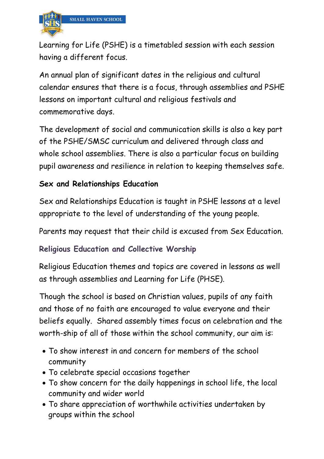

Learning for Life (PSHE) is a timetabled session with each session having a different focus.

An annual plan of significant dates in the religious and cultural calendar ensures that there is a focus, through assemblies and PSHE lessons on important cultural and religious festivals and commemorative days.

The development of social and communication skills is also a key part of the PSHE/SMSC curriculum and delivered through class and whole school assemblies. There is also a particular focus on building pupil awareness and resilience in relation to keeping themselves safe.

# **Sex and Relationships Education**

Sex and Relationships Education is taught in PSHE lessons at a level appropriate to the level of understanding of the young people.

Parents may request that their child is excused from Sex Education.

### **Religious Education and Collective Worship**

Religious Education themes and topics are covered in lessons as well as through assemblies and Learning for Life (PHSE).

Though the school is based on Christian values, pupils of any faith and those of no faith are encouraged to value everyone and their beliefs equally. Shared assembly times focus on celebration and the worth-ship of all of those within the school community, our aim is:

- To show interest in and concern for members of the school community
- To celebrate special occasions together
- To show concern for the daily happenings in school life, the local community and wider world
- To share appreciation of worthwhile activities undertaken by groups within the school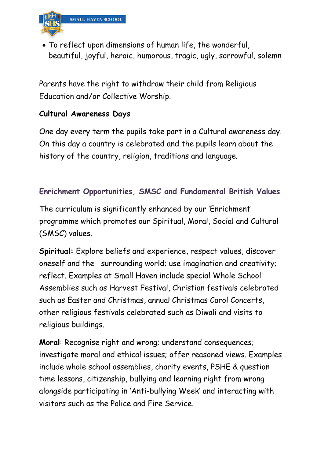

• To reflect upon dimensions of human life, the wonderful, beautiful, joyful, heroic, humorous, tragic, ugly, sorrowful, solemn

Parents have the right to withdraw their child from Religious Education and/or Collective Worship.

# **Cultural Awareness Days**

One day every term the pupils take part in a Cultural awareness day. On this day a country is celebrated and the pupils learn about the history of the country, religion, traditions and language.

# **Enrichment Opportunities, SMSC and Fundamental British Values**

The curriculum is significantly enhanced by our 'Enrichment' programme which promotes our Spiritual, Moral, Social and Cultural (SMSC) values.

**Spiritual:** Explore beliefs and experience, respect values, discover oneself and the surrounding world; use imagination and creativity; reflect. Examples at Small Haven include special Whole School Assemblies such as Harvest Festival, Christian festivals celebrated such as Easter and Christmas, annual Christmas Carol Concerts, other religious festivals celebrated such as Diwali and visits to religious buildings.

**Moral**: Recognise right and wrong; understand consequences; investigate moral and ethical issues; offer reasoned views. Examples include whole school assemblies, charity events, PSHE & question time lessons, citizenship, bullying and learning right from wrong alongside participating in 'Anti-bullying Week' and interacting with visitors such as the Police and Fire Service.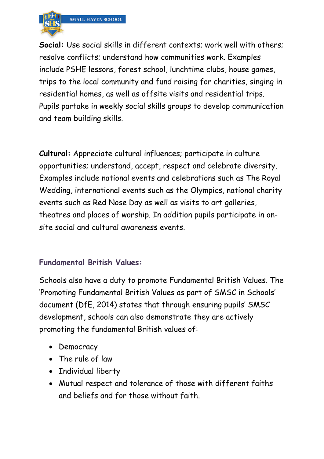

**Social:** Use social skills in different contexts; work well with others; resolve conflicts; understand how communities work. Examples include PSHE lessons, forest school, lunchtime clubs, house games, trips to the local community and fund raising for charities, singing in residential homes, as well as offsite visits and residential trips. Pupils partake in weekly social skills groups to develop communication and team building skills.

**Cultural:** Appreciate cultural influences; participate in culture opportunities; understand, accept, respect and celebrate diversity. Examples include national events and celebrations such as The Royal Wedding, international events such as the Olympics, national charity events such as Red Nose Day as well as visits to art galleries, theatres and places of worship. In addition pupils participate in onsite social and cultural awareness events.

# **Fundamental British Values:**

Schools also have a duty to promote Fundamental British Values. The 'Promoting Fundamental British Values as part of SMSC in Schools' document (DfE, 2014) states that through ensuring pupils' SMSC development, schools can also demonstrate they are actively promoting the fundamental British values of:

- Democracy
- The rule of law
- Individual liberty
- Mutual respect and tolerance of those with different faiths and beliefs and for those without faith.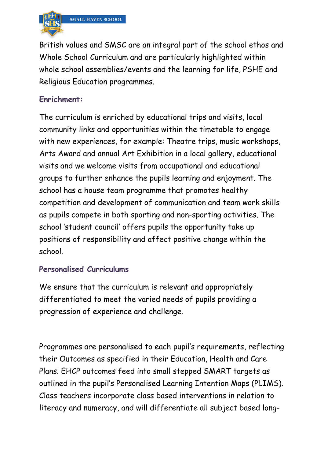

British values and SMSC are an integral part of the school ethos and Whole School Curriculum and are particularly highlighted within whole school assemblies/events and the learning for life, PSHE and Religious Education programmes.

### **Enrichment:**

The curriculum is enriched by educational trips and visits, local community links and opportunities within the timetable to engage with new experiences, for example: Theatre trips, music workshops, Arts Award and annual Art Exhibition in a local gallery, educational visits and we welcome visits from occupational and educational groups to further enhance the pupils learning and enjoyment. The school has a house team programme that promotes healthy competition and development of communication and team work skills as pupils compete in both sporting and non-sporting activities. The school 'student council' offers pupils the opportunity take up positions of responsibility and affect positive change within the school.

### **Personalised Curriculums**

We ensure that the curriculum is relevant and appropriately differentiated to meet the varied needs of pupils providing a progression of experience and challenge.

Programmes are personalised to each pupil's requirements, reflecting their Outcomes as specified in their Education, Health and Care Plans. EHCP outcomes feed into small stepped SMART targets as outlined in the pupil's Personalised Learning Intention Maps (PLIMS). Class teachers incorporate class based interventions in relation to literacy and numeracy, and will differentiate all subject based long-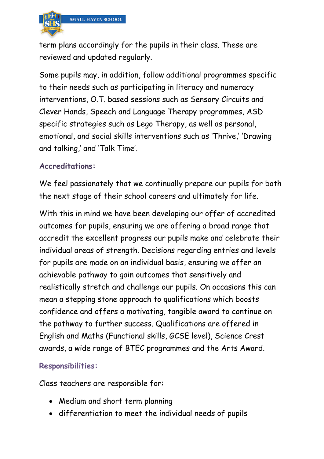

term plans accordingly for the pupils in their class. These are reviewed and updated regularly.

Some pupils may, in addition, follow additional programmes specific to their needs such as participating in literacy and numeracy interventions, O.T. based sessions such as Sensory Circuits and Clever Hands, Speech and Language Therapy programmes, ASD specific strategies such as Lego Therapy, as well as personal, emotional, and social skills interventions such as 'Thrive,' 'Drawing and talking,' and 'Talk Time'.

#### **Accreditations:**

We feel passionately that we continually prepare our pupils for both the next stage of their school careers and ultimately for life.

With this in mind we have been developing our offer of accredited outcomes for pupils, ensuring we are offering a broad range that accredit the excellent progress our pupils make and celebrate their individual areas of strength. Decisions regarding entries and levels for pupils are made on an individual basis, ensuring we offer an achievable pathway to gain outcomes that sensitively and realistically stretch and challenge our pupils. On occasions this can mean a stepping stone approach to qualifications which boosts confidence and offers a motivating, tangible award to continue on the pathway to further success. Qualifications are offered in English and Maths (Functional skills, GCSE level), Science Crest awards, a wide range of BTEC programmes and the Arts Award.

### **Responsibilities:**

Class teachers are responsible for:

- Medium and short term planning
- differentiation to meet the individual needs of pupils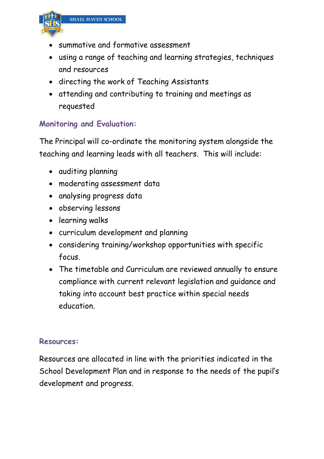

- summative and formative assessment
- using a range of teaching and learning strategies, techniques and resources
- directing the work of Teaching Assistants
- attending and contributing to training and meetings as requested

# **Monitoring and Evaluation:**

The Principal will co-ordinate the monitoring system alongside the teaching and learning leads with all teachers. This will include:

- auditing planning
- moderating assessment data
- analysing progress data
- observing lessons
- learning walks
- curriculum development and planning
- considering training/workshop opportunities with specific focus.
- The timetable and Curriculum are reviewed annually to ensure compliance with current relevant legislation and guidance and taking into account best practice within special needs education.

#### **Resources:**

Resources are allocated in line with the priorities indicated in the School Development Plan and in response to the needs of the pupil's development and progress.